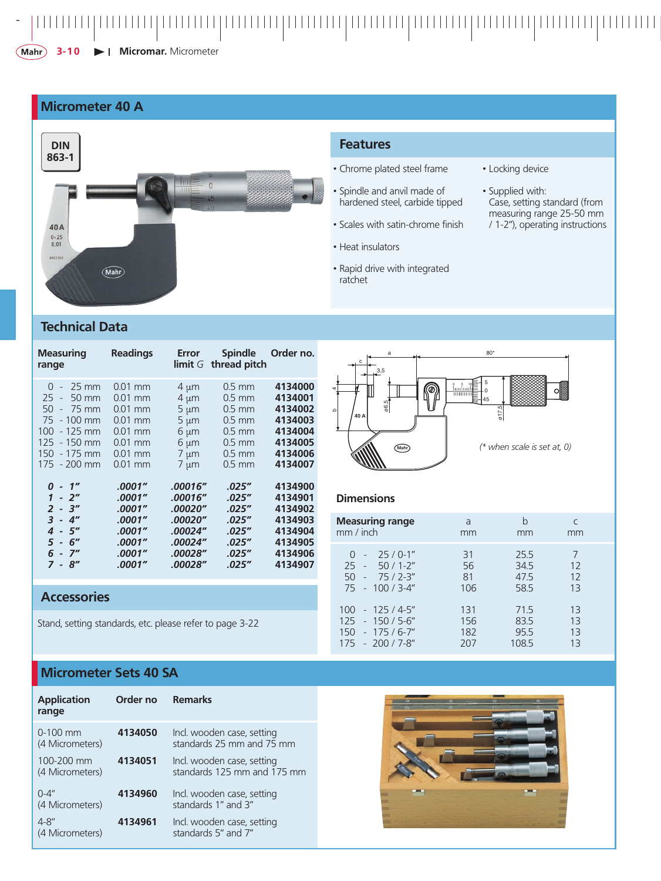**3-10**  $\blacktriangleright$  | **Micromar.** Micrometer

### **Micrometer 40 A**



#### **Features**

- Chrome plated steel frame
- Spindle and anvil made of hardened steel, carbide tipped
- Scales with satin-chrome finish
- Heat insulators
- Rapid drive with integrated ratchet
- Locking device
- Supplied with: Case, setting standard (from measuring range 25-50 mm / 1-2"), operating instructions

# **Technical Data**

| <b>Measuring</b><br>range | <b>Readings</b> | Error     | <b>Spindle</b><br>limit $G$ thread pitch | Order no. |
|---------------------------|-----------------|-----------|------------------------------------------|-----------|
| $0 - 25$ mm               | $0.01$ mm       | $4 \mu m$ | $0.5$ mm                                 | 4134000   |
| 25 - 50 mm                | $0.01$ mm       | $4 \mu m$ | $0.5$ mm                                 | 4134001   |
| $50 - 75$ mm              | $0.01$ mm       | $5 \mu m$ | $0.5$ mm                                 | 4134002   |
| 75 - 100 mm               | $0.01$ mm       | $5 \mu m$ | $0.5$ mm                                 | 4134003   |
| 100 - 125 mm              | $0.01$ mm       | $6 \mu m$ | $0.5$ mm                                 | 4134004   |
| 125 - 150 mm              | $0.01$ mm       | $6 \mu m$ | $0.5$ mm                                 | 4134005   |
| 150 - 175 mm              | $0.01$ mm       | $7 \mu m$ | $0.5$ mm                                 | 4134006   |
| 175 - 200 mm              | $0.01$ mm       | $7 \mu m$ | $0.5$ mm                                 | 4134007   |
| $0 - 1''$                 | .0001″          | .00016″   | .025″                                    | 4134900   |
| $1 - 2^{\prime\prime}$    | .0001″          | .00016″   | .025''                                   | 4134901   |
| $2 - 3''$                 | .0001″          | .00020″   | .025''                                   | 4134902   |
| $3 - 4''$                 | .0001″          | .00020″   | .025''                                   | 4134903   |
| $4 - 5''$                 | .0001″          | .00024"   | .025''                                   | 4134904   |
| $5 - 6''$                 | .0001″          | .00024"   | .025″                                    | 4134905   |
| $6 - 7"$                  | .0001″          | .00028"   | .025"                                    | 4134906   |
| $7 - 8''$                 | .0001"          | .00028"   | .025″                                    | 4134907   |

#### a 1980<sup>\*</sup> c 3,5 5 P 0 5 10 b 4 0 45 ø6,5 ø17,5 **40 A** *(\* when scale is set at, 0)* **Mahr**

#### **Dimensions**

| <b>Measuring range</b>                                                               | a                     | h                          | mm                  |
|--------------------------------------------------------------------------------------|-----------------------|----------------------------|---------------------|
| mm / inch                                                                            | mm                    | mm                         |                     |
| $-25/0-1"$<br>$\Omega$<br>$25 - 50/1-2$ "<br>$50 - 75/2-3''$<br>$75 - 100 / 3 - 4$ " | 31<br>56<br>81<br>106 | 255<br>34.5<br>475<br>58.5 | 7<br>12<br>12<br>13 |
| $100 - 125 / 4 - 5$ "                                                                | 131                   | 715                        | 13                  |
| $125 - 150 / 5 - 6$ "                                                                | 156                   | 83.5                       | 13                  |
| $150 - 175/6 - 7"$                                                                   | 182                   | 955                        | 13                  |
| $175 - 200 / 7 - 8$ "                                                                | 207                   | 1085                       | 13                  |

# **Accessories**

Stand, setting standards, etc. please refer to page 3-22

# **Micrometer Sets 40 SA**

| <b>Application</b><br>range   | Order no | <b>Remarks</b>                                            |
|-------------------------------|----------|-----------------------------------------------------------|
| $0-100$ mm<br>(4 Micrometers) | 4134050  | Incl. wooden case, setting<br>standards 25 mm and 75 mm   |
| 100-200 mm<br>(4 Micrometers) | 4134051  | Incl. wooden case, setting<br>standards 125 mm and 175 mm |
| $0 - 4''$<br>(4 Micrometers)  | 4134960  | Incl. wooden case, setting<br>standards 1" and 3"         |
| $4 - 8''$<br>(4 Micrometers)  | 4134961  | Incl. wooden case, setting<br>standards 5" and 7"         |